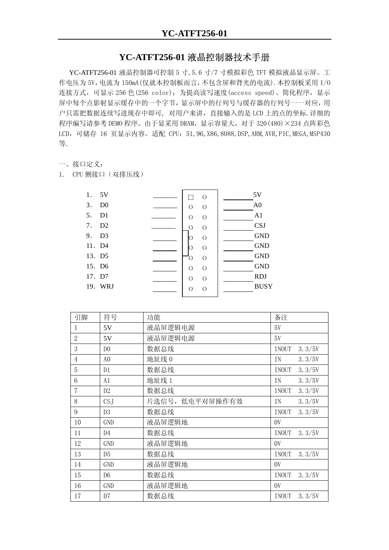## **YC-ATFT256-01** 液晶控制器技术手册

YC-ATFT256-01 液晶控制器可控制 5 寸,5.6 寸/7 寸模拟彩色 TFT 模拟液晶显示屏。工 作电压为 5V,电流为 150mA(仅就本控制板而言,不包含屏和背光的电流).本控制板采用 I/O 连接方式,可显示 256 色(256 color); 为提高读写速度(access speed)、简化程序, 显示 屏中每个点影射显示缓存中的一个字节,显示屏中的行列号与缓存器的行列号一一对应,用 户只需把数据连续写进现存中即可, 对用户来讲,直接输入的是 LCD 上的点的坐标.详细的 程序编写请参考 DEMO 程序。由于显采用 DRAM, 显示容量大, 对于 320 (480) × 234 点阵彩色 LCD, 可储存 16 页显示内容。适配 CPU: 51, 96, X86, 8088, DSP, ARM, AVR, PIC, MEGA, MSP430 等.

## 一、接口定义:

1. CPU 侧接口(双排压线)

| 5V<br>1.             | $\circ$             | 5V             |
|----------------------|---------------------|----------------|
| D <sub>0</sub><br>3. | $\circ$<br>О        | A <sub>0</sub> |
| D1<br>5.             | $\circ$<br>О        | A1             |
| D2<br>7.             | $\circ$<br>$\Omega$ | <b>CSJ</b>     |
| D <sub>3</sub><br>9. | $\circ$<br>О        | <b>GND</b>     |
| 11. D4               | $\circ$             | <b>GND</b>     |
| 13. D5               | $\overline{O}$<br>O | <b>GND</b>     |
| 15. D6               | $\circ$<br>$\circ$  | <b>GND</b>     |
| 17. D7               | $\circ$<br>$\circ$  | <b>RDJ</b>     |
| 19. WRJ              | $\circ$<br>$\Omega$ | <b>BUSY</b>    |
|                      |                     |                |

| 引脚             | 符号              | 功能              | 备注                     |  |
|----------------|-----------------|-----------------|------------------------|--|
| 1              | 5V              | 液晶屏逻辑电源         | 5V                     |  |
| $\overline{2}$ | 5V              | 液晶屏逻辑电源         | 5V                     |  |
| 3              | D <sub>0</sub>  | 数据总线            | INOUT<br>3.3/5V        |  |
| $\overline{4}$ | A <sub>0</sub>  | 地址线 0           | 3.3/5V<br>IN           |  |
| 5              | D1              | 数据总线            | 3.3/5V<br>INOUT        |  |
| 6              | A1              | 地址线 1           | 3.3/5V<br>ΙN           |  |
| 7              | D2              | 数据总线            | 3.3/5V<br><b>INOUT</b> |  |
| 8              | CS <sub>J</sub> | 片选信号, 低电平对屏操作有效 | 3.3/5V<br>ΙN           |  |
| 9              | D <sub>3</sub>  | 数据总线            | 3.3/5V<br>INOUT        |  |
| 10             | GND             | 液晶屏逻辑地          | 0V                     |  |
| 11             | D <sub>4</sub>  | 数据总线            | <b>INOUT</b><br>3.3/5V |  |
| 12             | GND             | 液晶屏逻辑地          | 0V                     |  |
| 13             | D <sub>5</sub>  | 数据总线            | INOUT<br>3.3/5V        |  |
| 14             | <b>GND</b>      | 液晶屏逻辑地          | 0V                     |  |
| 15             | D <sub>6</sub>  | 数据总线            | INOUT<br>3.3/5V        |  |
| 16             | <b>GND</b>      | 液晶屏逻辑地          | 0V                     |  |
| 17             | D <sub>7</sub>  | 数据总线            | 3.3/5V<br><b>INOUT</b> |  |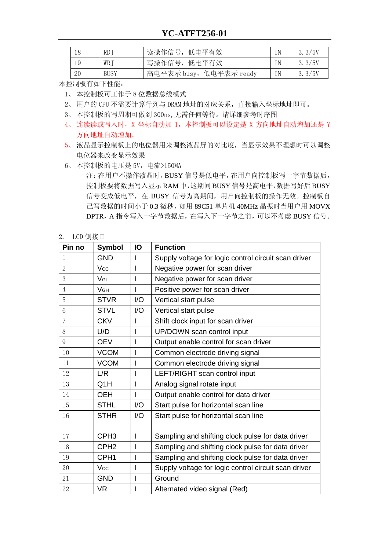|    | RD.         | 读操作信号, 低电平有效            | 3.3/5V |
|----|-------------|-------------------------|--------|
|    | WR.         | 写操作信号, 低电平有效            | 3.3/5V |
| 20 | <b>BUSY</b> | 高电平表示 busy, 低电平表示 ready | 3.3/5V |

本控制板有如下性能:

- 1、 本控制板可工作于 8 位数据总线模式
- 2、 用户的 CPU 不需要计算行列与 DRAM 地址的对应关系,直接输入坐标地址即可。
- 3、 本控制板的写周期可做到 300ns,无需任何等待。请详细参考时序图
- 4、连续读或写入时, X 坐标自动加 1, 本控制板可以设定是 X 方向地址自动增加还是 Y 方向地址自动增加。
- 5、 液晶显示控制板上的电位器用来调整液晶屏的对比度,当显示效果不理想时可以调整 电位器来改变显示效果
- 6、 本控制板的电压是 5V,电流>150MA

注:在用户不操作液晶时,BUSY 信号是低电平,在用户向控制板写一字节数据后, 控制板要将数据写入显示 RAM 中,这期间 BUSY 信号是高电平,数据写好后 BUSY 信号变成低电平,在 BUSY 信号为高期间,用户向控制板的操作无效。控制板自 己写数据的时间小于 0.3 微秒, 如用 89C51 单片机 40MHz 晶振时当用户用 MOVX DPTR,A 指令写入一字节数据后,在写入下一字节之前,可以不考虑 BUSY 信号。

## 2. LCD 侧接口

| Pin no         | <b>Symbol</b>         | IO             | <b>Function</b>                                      |
|----------------|-----------------------|----------------|------------------------------------------------------|
| $\mathbf{1}$   | <b>GND</b>            | I              | Supply voltage for logic control circuit scan driver |
| $\overline{2}$ | Vcc                   | I              | Negative power for scan driver                       |
| 3              | $V_{GL}$              | I              | Negative power for scan driver                       |
| $\overline{4}$ | <b>V<sub>GH</sub></b> | T              | Positive power for scan driver                       |
| 5              | <b>STVR</b>           | I/O            | Vertical start pulse                                 |
| 6              | <b>STVL</b>           | I/O            | Vertical start pulse                                 |
| $\overline{7}$ | <b>CKV</b>            | I              | Shift clock input for scan driver                    |
| 8              | U/D                   | I              | UP/DOWN scan control input                           |
| 9              | <b>OEV</b>            | I              | Output enable control for scan driver                |
| 10             | <b>VCOM</b>           | I              | Common electrode driving signal                      |
| 11             | <b>VCOM</b>           | $\overline{1}$ | Common electrode driving signal                      |
| 12             | L/R                   | I              | LEFT/RIGHT scan control input                        |
| 13             | Q <sub>1</sub> H      | I              | Analog signal rotate input                           |
| 14             | <b>OEH</b>            | I              | Output enable control for data driver                |
| 15             | <b>STHL</b>           | 1/O            | Start pulse for horizontal scan line                 |
| 16             | <b>STHR</b>           | 1/O            | Start pulse for horizontal scan line                 |
|                |                       |                |                                                      |
| 17             | CPH <sub>3</sub>      | I              | Sampling and shifting clock pulse for data driver    |
| 18             | CPH <sub>2</sub>      | I              | Sampling and shifting clock pulse for data driver    |
| 19             | CPH <sub>1</sub>      | I              | Sampling and shifting clock pulse for data driver    |
| 20             | Vcc                   | I              | Supply voltage for logic control circuit scan driver |
| 21             | <b>GND</b>            | I              | Ground                                               |
| 22             | <b>VR</b>             | I              | Alternated video signal (Red)                        |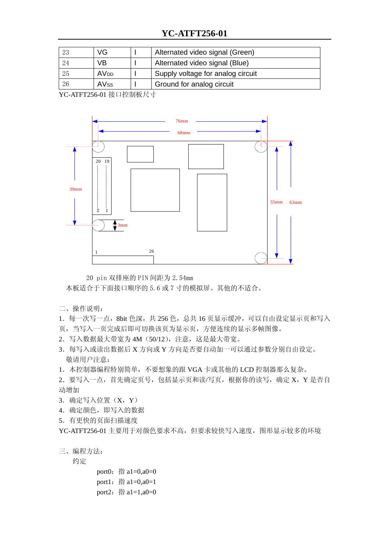## **YC-ATFT256-01**

| 23 | VG                     | Alternated video signal (Green)   |
|----|------------------------|-----------------------------------|
| 24 | VB                     | Alternated video signal (Blue)    |
| 25 | <b>AV<sub>DD</sub></b> | Supply voltage for analog circuit |
| 26 | <b>AVss</b>            | Ground for analog circuit         |

YC-ATFT256-01 接口控制板尺寸



20 pin 双排座的 PIN 间距为 2.54mm

本板适合于下面接口顺序的 5.6 或 7 寸的模拟屏。其他的不适合。

- 二、操作说明:
- 1. 每一次写一点, 8bit 色深, 共 256 色, 总共 16 页显示缓冲, 可以自由设定显示页和写入
- 页,当写入一页完成后即可切换该页为显示页,方便连续的显示多帧图像。
- 2.写入数据最大带宽为 4M(50/12),注意,这是最大带宽。
- 3.每写入或读出数据后 X 方向或 Y 方向是否要自动加一可以通过参数分别自由设定。 敬请用户注意:

1.本控制器编程特别简单,不要想象的跟 VGA 卡或其他的 LCD 控制器那么复杂。

- 2. 要写入一点, 首先确定页号, 包括显示页和读/写页, 根据你的读写, 确定 X, Y 是否自 动增加
- 3.确定写入位置(X,Y)
- 4.确定颜色,即写入的数据
- 5.有更快的页面扫描速度

YC-ATFT256-01 主要用于对颜色要求不高,但要求较快写入速度,图形显示较多的环境

三、编程方法:

约定

port0: 指  $a1=0$ , $a0=0$ port1: 指  $a1=0$ , $a0=1$ port2: 指  $a1=1$ , $a0=0$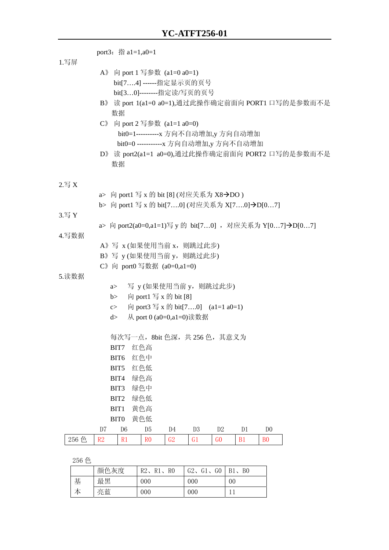|                     |                | port3: 指 $a1=1, a0=1$                                                                                                                                                                                         |                       |                         |                |                                   |    |                |                                                                                                       |
|---------------------|----------------|---------------------------------------------------------------------------------------------------------------------------------------------------------------------------------------------------------------|-----------------------|-------------------------|----------------|-----------------------------------|----|----------------|-------------------------------------------------------------------------------------------------------|
| 1.写屏                |                | A》 向 port 1 写参数 (a1=0 a0=1)<br>bit[74] ------指定显示页的页号<br>bit[30]--------指定读/写页的页号<br>数据<br>$C$ 》 向 port 2 写参数 (a1=1 a0=0)<br>bit0=1----------x 方向不自动增加,y 方向自动增加<br>bit0=0 -----------x 方向自动增加,y 方向不自动增加<br>数据 |                       |                         |                |                                   |    |                | B》 读 port 1(a1=0 a0=1),通过此操作确定前面向 PORT1 口写的是参数而不是<br>D》 读 port2(a1=1 a0=0),通过此操作确定前面向 PORT2 口写的是参数而不是 |
| $2. \overline{5} X$ |                |                                                                                                                                                                                                               |                       |                         |                |                                   |    |                |                                                                                                       |
|                     | a >            | 向 port1 写 x 的 bit [8] (对应关系为 X8→DO)                                                                                                                                                                           |                       |                         |                |                                   |    |                |                                                                                                       |
| 3.写 Y               |                | b> 向 port1 写 x 的 bit[70] (对应关系为 X[70]→D[07]                                                                                                                                                                   |                       |                         |                |                                   |    |                |                                                                                                       |
|                     |                |                                                                                                                                                                                                               |                       |                         |                |                                   |    |                | a> 向 port2(a0=0,a1=1)写 y 的 bit[70], 对应关系为 Y[07]→D[07]                                                 |
| 4.写数据               |                |                                                                                                                                                                                                               |                       |                         |                |                                   |    |                |                                                                                                       |
|                     |                | A》写 x (如果使用当前 x, 则跳过此步)                                                                                                                                                                                       |                       |                         |                |                                   |    |                |                                                                                                       |
|                     |                | B》写 y (如果使用当前 y, 则跳过此步)<br>C》向 port0 写数据 (a0=0,a1=0)                                                                                                                                                          |                       |                         |                |                                   |    |                |                                                                                                       |
| 5.读数据               |                |                                                                                                                                                                                                               |                       |                         |                |                                   |    |                |                                                                                                       |
|                     | a >            |                                                                                                                                                                                                               |                       |                         |                | 写 y(如果使用当前 y, 则跳过此步)              |    |                |                                                                                                       |
|                     | b>             |                                                                                                                                                                                                               |                       | 向 port1 写 x 的 bit [8]   |                |                                   |    |                |                                                                                                       |
|                     | c              |                                                                                                                                                                                                               |                       |                         |                | 向 port3 写 x 的 bit[70] (a1=1 a0=1) |    |                |                                                                                                       |
|                     | d>             |                                                                                                                                                                                                               |                       | 从 port 0 (a0=0,a1=0)读数据 |                |                                   |    |                |                                                                                                       |
|                     |                | 每次写一点,8bit 色深,共 256 色,其意义为                                                                                                                                                                                    |                       |                         |                |                                   |    |                |                                                                                                       |
|                     |                | BIT7                                                                                                                                                                                                          | 红色高                   |                         |                |                                   |    |                |                                                                                                       |
|                     |                | BIT6<br>BIT5                                                                                                                                                                                                  | 红色中<br>红色低            |                         |                |                                   |    |                |                                                                                                       |
|                     |                | BIT4                                                                                                                                                                                                          | 绿色高                   |                         |                |                                   |    |                |                                                                                                       |
|                     |                | BIT3                                                                                                                                                                                                          | 绿色中                   |                         |                |                                   |    |                |                                                                                                       |
|                     |                | BIT2                                                                                                                                                                                                          | 绿色低                   |                         |                |                                   |    |                |                                                                                                       |
|                     |                | BIT1                                                                                                                                                                                                          | 黄色高                   |                         |                |                                   |    |                |                                                                                                       |
|                     | D <sub>7</sub> | BIT <sub>0</sub><br>D <sub>6</sub>                                                                                                                                                                            | 黄色低<br>D <sub>5</sub> | D <sub>4</sub>          | D <sub>3</sub> | D <sub>2</sub>                    | D1 | D <sub>0</sub> |                                                                                                       |
| 256 色               | R2             | R1                                                                                                                                                                                                            | R <sub>0</sub>        | G2                      | G1             | G <sub>0</sub>                    | B1 | B <sub>0</sub> |                                                                                                       |
|                     |                |                                                                                                                                                                                                               |                       |                         |                |                                   |    |                |                                                                                                       |

256 色

|   | 颜色灰度 | $R2$ , $R1$ ,<br>- RO | G2, G1, G0 | B1、B0          |
|---|------|-----------------------|------------|----------------|
| 基 | 最黑   | 000                   | 000        | 0 <sub>0</sub> |
| 本 | 亮蓝   | 000                   | 000        |                |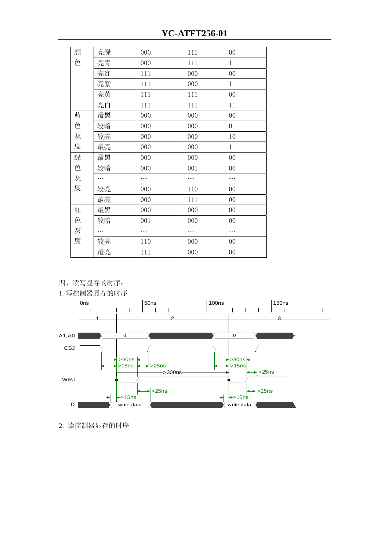| 颜 | 亮绿 | 000 | 111 | 00 |
|---|----|-----|-----|----|
| 色 | 亮青 | 000 | 111 | 11 |
|   | 亮红 | 111 | 000 | 00 |
|   | 亮紫 | 111 | 000 | 11 |
|   | 亮黄 | 111 | 111 | 00 |
|   | 亮白 | 111 | 111 | 11 |
| 蓝 | 最黑 | 000 | 000 | 00 |
| 色 | 较暗 | 000 | 000 | 01 |
| 灰 | 较亮 | 000 | 000 | 10 |
| 度 | 最亮 | 000 | 000 | 11 |
| 绿 | 最黑 | 000 | 000 | 00 |
| 色 | 较暗 | 000 | 001 | 00 |
| 灰 |    |     |     | .  |
| 度 | 较亮 | 000 | 110 | 00 |
|   | 最亮 | 000 | 111 | 00 |
| 红 | 最黑 | 000 | 000 | 00 |
| 色 | 较暗 | 001 | 000 | 00 |
| 灰 |    |     |     |    |
| 度 | 较亮 | 110 | 000 | 00 |
|   | 最亮 | 111 | 000 | 00 |
|   |    |     |     |    |

四、读写显存的时序:





2. 读控制器显存的时序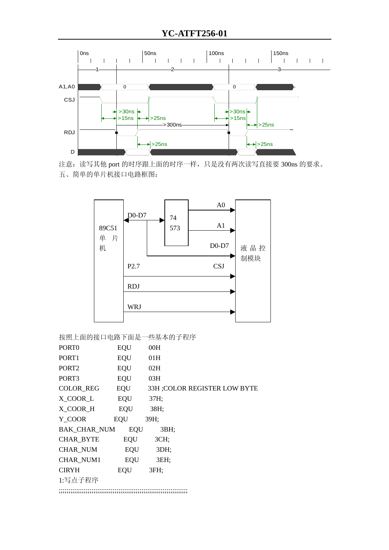





按照上面的接口电路下面是一些基本的子程序

| PORT <sub>0</sub>   | EQU        | 00H  |                               |
|---------------------|------------|------|-------------------------------|
| PORT <sub>1</sub>   | EQU        | 01H  |                               |
| PORT <sub>2</sub>   | EQU        | 02H  |                               |
| PORT <sub>3</sub>   | EQU        | 03H  |                               |
| <b>COLOR_REG</b>    | EQU        |      | 33H ; COLOR REGISTER LOW BYTE |
| X COOR L            | EQU        | 37H; |                               |
| X_COOR_H            | EQU        | 38H; |                               |
| Y COOR              | EQU        | 39H; |                               |
| <b>BAK CHAR NUM</b> | <b>EQU</b> | 3BH; |                               |
| CHAR_BYTE           | EQU        | 3CH; |                               |
| <b>CHAR NUM</b>     | EQU        | 3DH; |                               |
| <b>CHAR NUM1</b>    | EQU        | 3EH; |                               |
| <b>CIRYH</b>        | EQU        | 3FH: |                               |
| 1:写点子程序             |            |      |                               |
|                     |            |      |                               |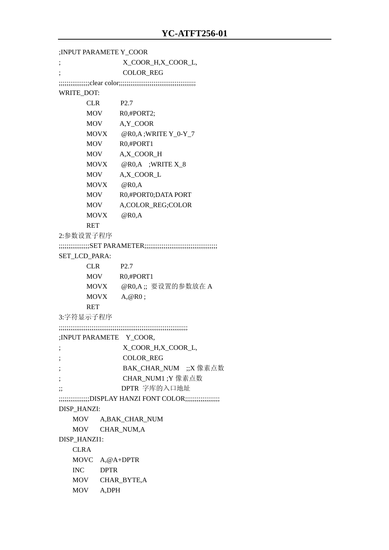;INPUT PARAMETE Y\_COOR ; X\_COOR\_H,X\_COOR\_L, ; COLOR\_REG ;;;;;;;;;;;;;;;;clear color;;;;;;;;;;;;;;;;;;;;;;;;;;;;;;;;;;;;;;;; WRITE\_DOT: CLR P2.7 MOV R0,#PORT2; MOV A,Y\_COOR MOVX @R0,A ;WRITE Y\_0-Y\_7 MOV R0,#PORT1 MOV A,X\_COOR\_H MOVX @R0,A ;WRITE X\_8 MOV A,X\_COOR\_L MOVX @R0,A MOV R0,#PORT0;DATA PORT MOV A.COLOR\_REG:COLOR MOVX @R0,A RET 2:参数设置子程序 ;;;;;;;;;;;;;;;;SET PARAMETER;;;;;;;;;;;;;;;;;;;;;;;;;;;;;;;;;;;;;; SET\_LCD\_PARA: CLR P2.7 MOV R0,#PORT1 MOVX @R0,A ;; 要设置的参数放在 A MOVX A,@R0 ; RET 3:字符显示子程序 ;;;;;;;;;;;;;;;;;;;;;;;;;;;;;;;;;;;;;;;;;;;;;;;;;;;;;;;;;;;;;;;;;;; ;INPUT PARAMETE Y\_COOR, ; X\_COOR\_H,X\_COOR\_L, ; COLOR\_REG ; BAK CHAR NUM ;;X 像素点数 ; CHAR\_NUM1 ;Y 像素点数 ;; DPTR 字库的入口地址 ;;;;;;;;;;;;;;;;DISPLAY HANZI FONT COLOR;;;;;;;;;;;;;;;;;; DISP\_HANZI: MOV A,BAK\_CHAR\_NUM MOV CHAR\_NUM,A DISP\_HANZI1: CLR A MOVC A,@A+DPTR INC DPTR MOV CHAR\_BYTE,A MOV A,DPH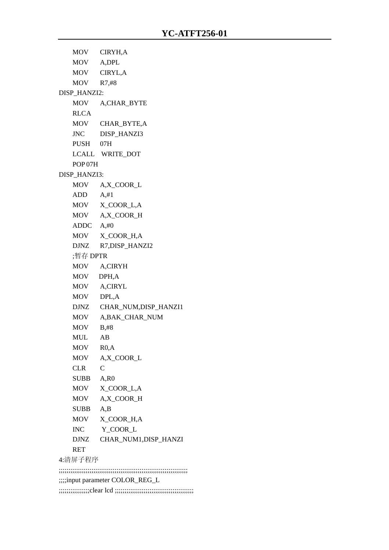MOV CIRYH,A MOV A,DPL MOV CIRYL,A MOV R7,#8 DISP\_HANZI2: MOV A,CHAR\_BYTE **RLCA**  MOV CHAR\_BYTE,A JNC DISP\_HANZI3 PUSH 07H LCALL WRITE\_DOT POP 07H DISP\_HANZI3: MOV A,X\_COOR\_L ADD A,#1 MOV X COOR L,A MOV A,X\_COOR\_H ADDC A,#0 MOV X\_COOR\_H,A DJNZ R7,DISP\_HANZI2 ;暂存 DPTR MOV A,CIRYH MOV DPH,A MOV A,CIRYL MOV DPL,A DJNZ CHAR\_NUM,DISP\_HANZI1 MOV A,BAK\_CHAR\_NUM MOV B,#8 MUL AB MOV R0,A MOV A,X\_COOR\_L CLR C SUBB A,R0 MOV X\_COOR\_L,A MOV A,X\_COOR\_H SUBB A,B MOV X COOR H,A INC Y\_COOR\_L DJNZ CHAR\_NUM1,DISP\_HANZI RET 4:清屏子程序 ;;;;;;;;;;;;;;;;;;;;;;;;;;;;;;;;;;;;;;;;;;;;;;;;;;;;;;;;;;;;;;;;;;; ;;;;input parameter COLOR\_REG\_L

;;;;;;;;;;;;;;;;clear lcd ;;;;;;;;;;;;;;;;;;;;;;;;;;;;;;;;;;;;;;;;;